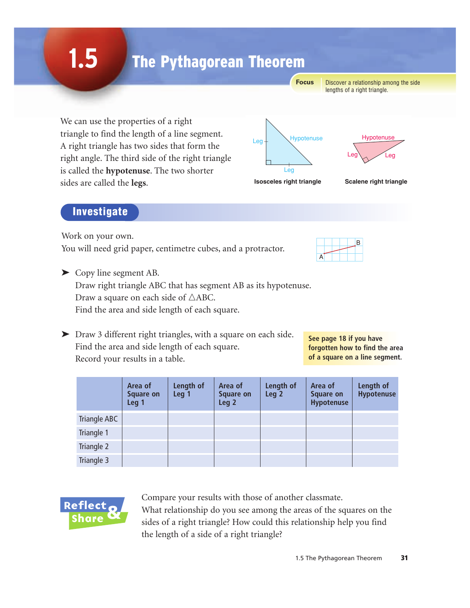# The Pythagorean Theorem

**Focus**

Discover a relationship among the side lengths of a right triangle.

We can use the properties of a right triangle to find the length of a line segment. A right triangle has two sides that form the right angle. The third side of the right triangle is called the **hypotenuse**. The two shorter sides are called the **legs**.



 $\mathsf{Leg} \setminus \diagup \mathsf{Leg}$ Hypotenuse

#### **Investigate**

**1.5**

Work on your own.

You will need grid paper, centimetre cubes, and a protractor.



**See page 18 if you have forgotten how to find the area of a square on a line segment.**

➤ Copy line segment AB.

Draw right triangle ABC that has segment AB as its hypotenuse. Draw a square on each side of  $\triangle$ ABC. Find the area and side length of each square.

➤ Draw 3 different right triangles, with a square on each side. Find the area and side length of each square. Record your results in a table.

|              | Area of<br><b>Square on</b><br>Leg <sub>1</sub> | Length of<br>Leg 1 | Area of<br><b>Square on</b><br>Leg <sub>2</sub> | Length of<br>Leg <sub>2</sub> | Area of<br><b>Square on</b><br>Hypotenuse | Length of<br><b>Hypotenuse</b> |
|--------------|-------------------------------------------------|--------------------|-------------------------------------------------|-------------------------------|-------------------------------------------|--------------------------------|
| Triangle ABC |                                                 |                    |                                                 |                               |                                           |                                |
| Triangle 1   |                                                 |                    |                                                 |                               |                                           |                                |
| Triangle 2   |                                                 |                    |                                                 |                               |                                           |                                |
| Triangle 3   |                                                 |                    |                                                 |                               |                                           |                                |



Compare your results with those of another classmate. What relationship do you see among the areas of the squares on the sides of a right triangle? How could this relationship help you find the length of a side of a right triangle?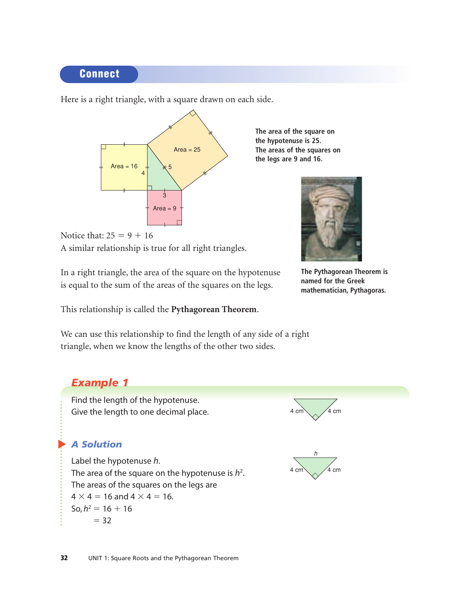## Connect

Here is a right triangle, with a square drawn on each side.



**the hypotenuse is 25. The areas of the squares on the legs are 9 and 16.**

**The area of the square on**



Notice that:  $25 = 9 + 16$ A similar relationship is true for all right triangles.

In a right triangle, the area of the square on the hypotenuse is equal to the sum of the areas of the squares on the legs.

This relationship is called the **Pythagorean Theorem**.

We can use this relationship to find the length of any side of a right triangle, when we know the lengths of the other two sides.

**The Pythagorean Theorem is named for the Greek mathematician, Pythagoras.**

## *Example 1*

Find the length of the hypotenuse. Give the length to one decimal place.

## ▲ *A Solution*

Label the hypotenuse *h*. The area of the square on the hypotenuse is  $h^2$ . The areas of the squares on the legs are  $4 \times 4 = 16$  and  $4 \times 4 = 16$ .  $\text{So}, h^2 = 16 + 16$  $= 32$ 



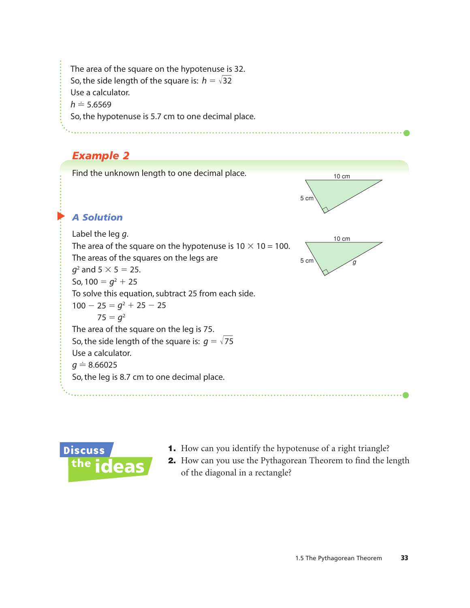The area of the square on the hypotenuse is 32. So, the side length of the square is:  $h=\sqrt{32}$ Use a calculator.  $h = 5.6569$ So, the hypotenuse is 5.7 cm to one decimal place.

## *Example 2*





- 1. How can you identify the hypotenuse of a right triangle?
- 2. How can you use the Pythagorean Theorem to find the length of the diagonal in a rectangle?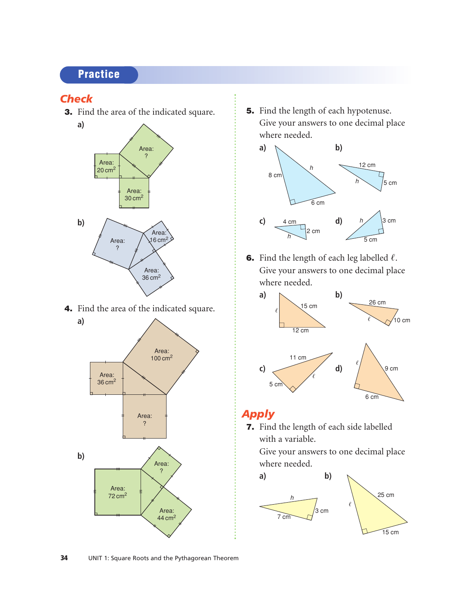## **Practice**

### *Check*

3. Find the area of the indicated square.



4. Find the area of the indicated square.



5. Find the length of each hypotenuse. Give your answers to one decimal place where needed.



**6.** Find the length of each leg labelled  $\ell$ . Give your answers to one decimal place where needed.



## *Apply*

7. Find the length of each side labelled with a variable.

Give your answers to one decimal place where needed.

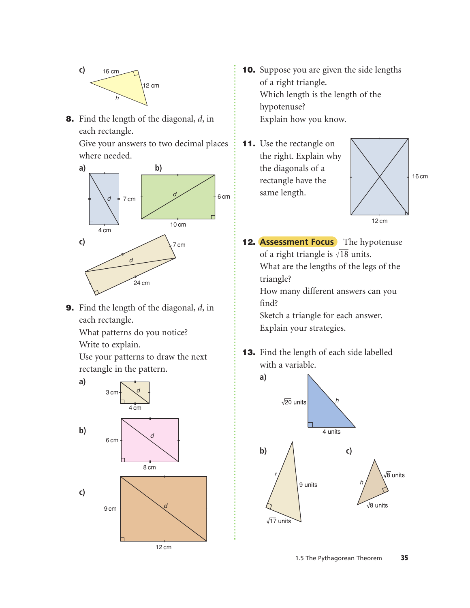

8. Find the length of the diagonal, *d*, in each rectangle.

Give your answers to two decimal places where needed.



9. Find the length of the diagonal, *d*, in each rectangle.

What patterns do you notice? Write to explain.

Use your patterns to draw the next rectangle in the pattern.



- 10. Suppose you are given the side lengths of a right triangle. Which length is the length of the hypotenuse? Explain how you know.
- **11.** Use the rectangle on the right. Explain why the diagonals of a rectangle have the same length.



**12. Assessment Focus** The hypotenuse of a right triangle is  $\sqrt{18}$  units. What are the lengths of the legs of the triangle?

How many different answers can you find?

Sketch a triangle for each answer. Explain your strategies.

13. Find the length of each side labelled with a variable.